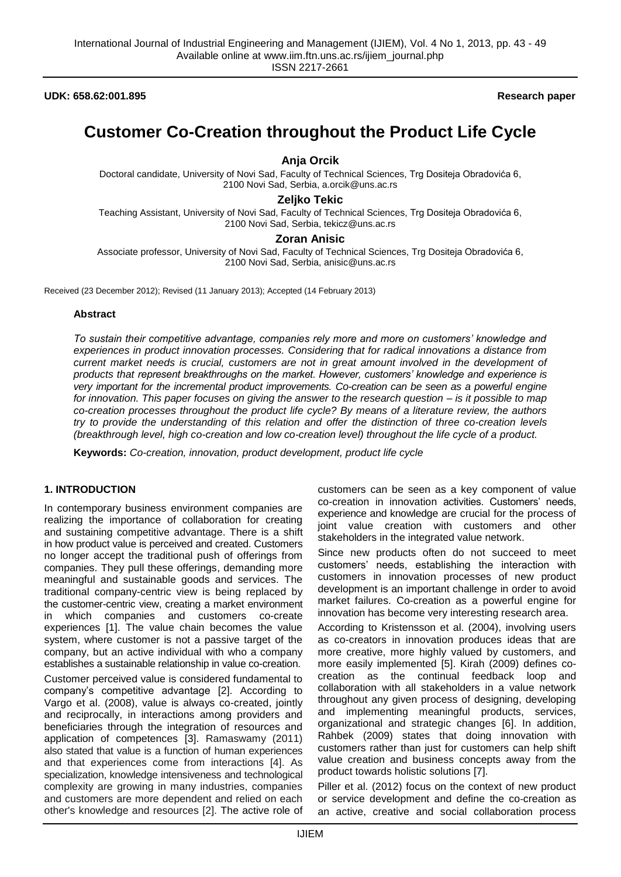**UDK: 658.62:001.895 Research paper**

# **Customer Co-Creation throughout the Product Life Cycle**

**Anja Orcik**

Doctoral candidate, University of Novi Sad, Faculty of Technical Sciences, Trg Dositeja Obradovića 6, 2100 Novi Sad, Serbia, a.orcik@uns.ac.rs

## **Zeljko Tekic**

Teaching Assistant, University of Novi Sad, Faculty of Technical Sciences, Trg Dositeja Obradovića 6, 2100 Novi Sad, Serbia, tekicz@uns.ac.rs

## **Zoran Anisic**

Associate professor, University of Novi Sad, Faculty of Technical Sciences, Trg Dositeja Obradovića 6, 2100 Novi Sad, Serbia, anisic@uns.ac.rs

Received (23 December 2012); Revised (11 January 2013); Accepted (14 February 2013)

## **Abstract**

*To sustain their competitive advantage, companies rely more and more on customers' knowledge and experiences in product innovation processes. Considering that for radical innovations a distance from current market needs is crucial, customers are not in great amount involved in the development of products that represent breakthroughs on the market. However, customers' knowledge and experience is very important for the incremental product improvements. Co-creation can be seen as a powerful engine for innovation. This paper focuses on giving the answer to the research question – is it possible to map co-creation processes throughout the product life cycle? By means of a literature review, the authors try to provide the understanding of this relation and offer the distinction of three co-creation levels (breakthrough level, high co-creation and low co-creation level) throughout the life cycle of a product.*

**Keywords:** *Co-creation, innovation, product development, product life cycle*

## **1. INTRODUCTION**

In contemporary business environment companies are realizing the importance of collaboration for creating and sustaining competitive advantage. There is a shift in how product value is perceived and created. Customers no longer accept the traditional push of offerings from companies. They pull these offerings, demanding more meaningful and sustainable goods and services. The traditional company-centric view is being replaced by the customer-centric view, creating a market environment in which companies and customers co-create experiences [1]. The value chain becomes the value system, where customer is not a passive target of the company, but an active individual with who a company establishes a sustainable relationship in value co-creation.

Customer perceived value is considered fundamental to company's competitive advantage [2]. According to Vargo et al. (2008), value is always co-created, jointly and reciprocally, in interactions among providers and beneficiaries through the integration of resources and application of competences [3]. Ramaswamy (2011) also stated that value is a function of human experiences and that experiences come from interactions [4]. As specialization, knowledge intensiveness and technological complexity are growing in many industries, companies and customers are more dependent and relied on each other's knowledge and resources [2]. The active role of customers can be seen as a key component of value co-creation in innovation activities. Customers' needs, experience and knowledge are crucial for the process of joint value creation with customers and other stakeholders in the integrated value network.

Since new products often do not succeed to meet customers' needs, establishing the interaction with customers in innovation processes of new product development is an important challenge in order to avoid market failures. Co-creation as a powerful engine for innovation has become very interesting research area.

According to Kristensson et al. (2004), involving users as co-creators in innovation produces ideas that are more creative, more highly valued by customers, and more easily implemented [5]. Kirah (2009) defines cocreation as the continual feedback loop and collaboration with all stakeholders in a value network throughout any given process of designing, developing and implementing meaningful products, services, organizational and strategic changes [6]. In addition, Rahbek (2009) states that doing innovation with customers rather than just for customers can help shift value creation and business concepts away from the product towards holistic solutions [7].

Piller et al. (2012) focus on the context of new product or service development and define the co‐creation as an active, creative and social collaboration process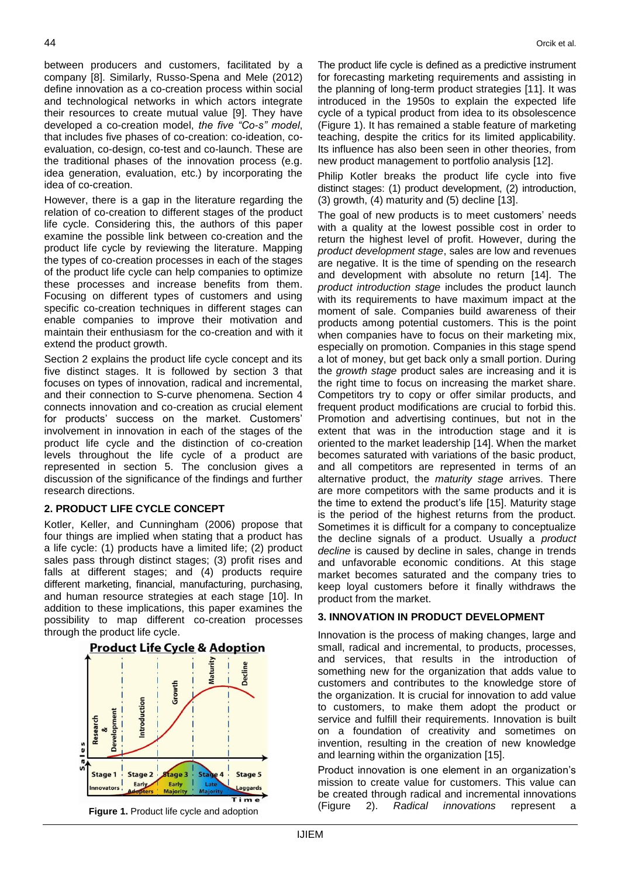between producers and customers, facilitated by a company [8]. Similarly, Russo-Spena and Mele (2012) define innovation as a co-creation process within social and technological networks in which actors integrate their resources to create mutual value [9]. They have developed a co-creation model, *the five "Co-s" model*, that includes five phases of co-creation: co-ideation, coevaluation, co-design, co-test and co-launch. These are the traditional phases of the innovation process (e.g. idea generation, evaluation, etc.) by incorporating the idea of co-creation.

However, there is a gap in the literature regarding the relation of co-creation to different stages of the product life cycle. Considering this, the authors of this paper examine the possible link between co-creation and the product life cycle by reviewing the literature. Mapping the types of co-creation processes in each of the stages of the product life cycle can help companies to optimize these processes and increase benefits from them. Focusing on different types of customers and using specific co-creation techniques in different stages can enable companies to improve their motivation and maintain their enthusiasm for the co-creation and with it extend the product growth.

Section 2 explains the product life cycle concept and its five distinct stages. It is followed by section 3 that focuses on types of innovation, radical and incremental, and their connection to S-curve phenomena. Section 4 connects innovation and co-creation as crucial element for products' success on the market. Customers' involvement in innovation in each of the stages of the product life cycle and the distinction of co-creation levels throughout the life cycle of a product are represented in section 5. The conclusion gives a discussion of the significance of the findings and further research directions.

## **2. PRODUCT LIFE CYCLE CONCEPT**

Kotler, Keller, and Cunningham (2006) propose that four things are implied when stating that a product has a life cycle: (1) products have a limited life; (2) product sales pass through distinct stages; (3) profit rises and falls at different stages; and (4) products require different marketing, financial, manufacturing, purchasing, and human resource strategies at each stage [10]. In addition to these implications, this paper examines the possibility to map different co-creation processes through the product life cycle.





The product life cycle is defined as a predictive instrument for forecasting marketing requirements and assisting in the planning of long-term product strategies [11]. It was introduced in the 1950s to explain the expected life cycle of a typical product from idea to its obsolescence (Figure 1). It has remained a stable feature of marketing teaching, despite the critics for its limited applicability. Its influence has also been seen in other theories, from new product management to portfolio analysis [12].

Philip Kotler breaks the product life cycle into five distinct stages: (1) product development, (2) introduction, (3) growth, (4) maturity and (5) decline [13].

The goal of new products is to meet customers' needs with a quality at the lowest possible cost in order to return the highest level of profit. However, during the *product development stage*, sales are low and revenues are negative. It is the time of spending on the research and development with absolute no return [14]. The *product introduction stage* includes the product launch with its requirements to have maximum impact at the moment of sale. Companies build awareness of their products among potential customers. This is the point when companies have to focus on their marketing mix, especially on promotion. Companies in this stage spend a lot of money, but get back only a small portion. During the *growth stage* product sales are increasing and it is the right time to focus on increasing the market share. Competitors try to copy or offer similar products, and frequent product modifications are crucial to forbid this. Promotion and advertising continues, but not in the extent that was in the introduction stage and it is oriented to the market leadership [14]. When the market becomes saturated with variations of the basic product, and all competitors are represented in terms of an alternative product, the *maturity stage* arrives. There are more competitors with the same products and it is the time to extend the product's life [15]. Maturity stage is the period of the highest returns from the product. Sometimes it is difficult for a company to conceptualize the decline signals of a product. Usually a *product decline* is caused by decline in sales, change in trends and unfavorable economic conditions. At this stage market becomes saturated and the company tries to keep loyal customers before it finally withdraws the product from the market.

#### **3. INNOVATION IN PRODUCT DEVELOPMENT**

Innovation is the process of making changes, large and small, radical and incremental, to products, processes, and services, that results in the introduction of something new for the organization that adds value to customers and contributes to the knowledge store of the organization. It is crucial for innovation to add value to customers, to make them adopt the product or service and fulfill their requirements. Innovation is built on a foundation of creativity and sometimes on invention, resulting in the creation of new knowledge and learning within the organization [15].

Product innovation is one element in an organization's mission to create value for customers. This value can be created through radical and incremental innovations (Figure 2). *Radical innovations* represent a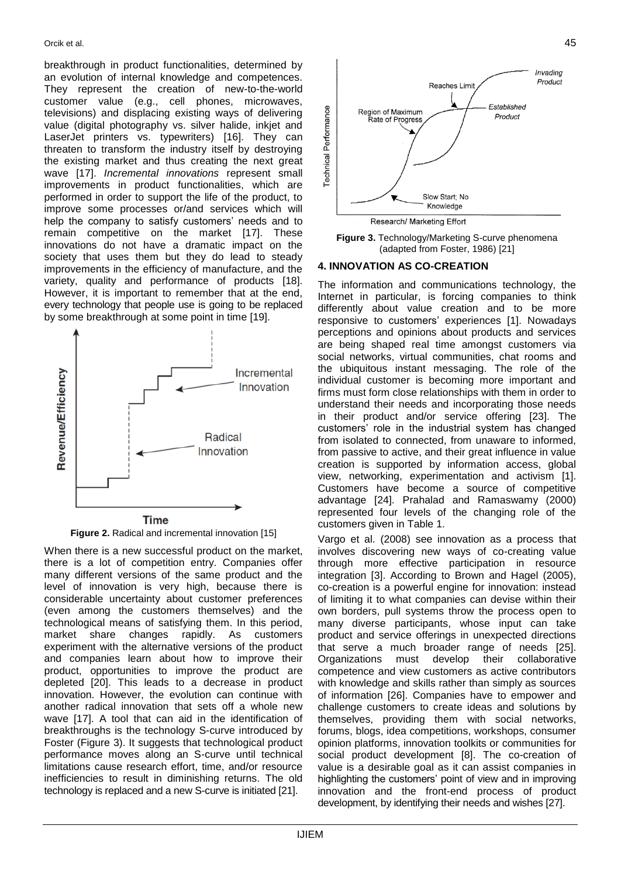breakthrough in product functionalities, determined by an evolution of internal knowledge and competences. They represent the creation of new-to-the-world customer value (e.g., cell phones, microwaves, televisions) and displacing existing ways of delivering value (digital photography vs. silver halide, inkjet and LaserJet printers vs. typewriters) [16]. They can threaten to transform the industry itself by destroying the existing market and thus creating the next great wave [17]. *Incremental innovations* represent small improvements in product functionalities, which are performed in order to support the life of the product, to improve some processes or/and services which will help the company to satisfy customers' needs and to remain competitive on the market [17]. These innovations do not have a dramatic impact on the society that uses them but they do lead to steady improvements in the efficiency of manufacture, and the variety, quality and performance of products [18]. However, it is important to remember that at the end, every technology that people use is going to be replaced by some breakthrough at some point in time [19].





When there is a new successful product on the market, there is a lot of competition entry. Companies offer many different versions of the same product and the level of innovation is very high, because there is considerable uncertainty about customer preferences (even among the customers themselves) and the technological means of satisfying them. In this period, market share changes rapidly. As customers experiment with the alternative versions of the product and companies learn about how to improve their product, opportunities to improve the product are depleted [20]. This leads to a decrease in product innovation. However, the evolution can continue with another radical innovation that sets off a whole new wave [17]. A tool that can aid in the identification of breakthroughs is the technology S-curve introduced by Foster (Figure 3). It suggests that technological product performance moves along an S-curve until technical limitations cause research effort, time, and/or resource inefficiencies to result in diminishing returns. The old technology is replaced and a new S-curve is initiated [21].



**Figure 3.** Technology/Marketing S-curve phenomena (adapted from Foster, 1986) [21]

#### **4. INNOVATION AS CO-CREATION**

The information and communications technology, the Internet in particular, is forcing companies to think differently about value creation and to be more responsive to customers' experiences [1]. Nowadays perceptions and opinions about products and services are being shaped real time amongst customers via social networks, virtual communities, chat rooms and the ubiquitous instant messaging. The role of the individual customer is becoming more important and firms must form close relationships with them in order to understand their needs and incorporating those needs in their product and/or service offering [23]. The customers' role in the industrial system has changed from isolated to connected, from unaware to informed, from passive to active, and their great influence in value creation is supported by information access, global view, networking, experimentation and activism [1]. Customers have become a source of competitive advantage [24]. Prahalad and Ramaswamy (2000) represented four levels of the changing role of the customers given in Table 1.

Vargo et al. (2008) see innovation as a process that involves discovering new ways of co-creating value through more effective participation in resource integration [3]. According to Brown and Hagel (2005), co-creation is a powerful engine for innovation: instead of limiting it to what companies can devise within their own borders, pull systems throw the process open to many diverse participants, whose input can take product and service offerings in unexpected directions that serve a much broader range of needs [25]. Organizations must develop their collaborative competence and view customers as active contributors with knowledge and skills rather than simply as sources of information [26]. Companies have to empower and challenge customers to create ideas and solutions by themselves, providing them with social networks, forums, blogs, idea competitions, workshops, consumer opinion platforms, innovation toolkits or communities for social product development [8]. The co-creation of value is a desirable goal as it can assist companies in highlighting the customers' point of view and in improving innovation and the front-end process of product development, by identifying their needs and wishes [27].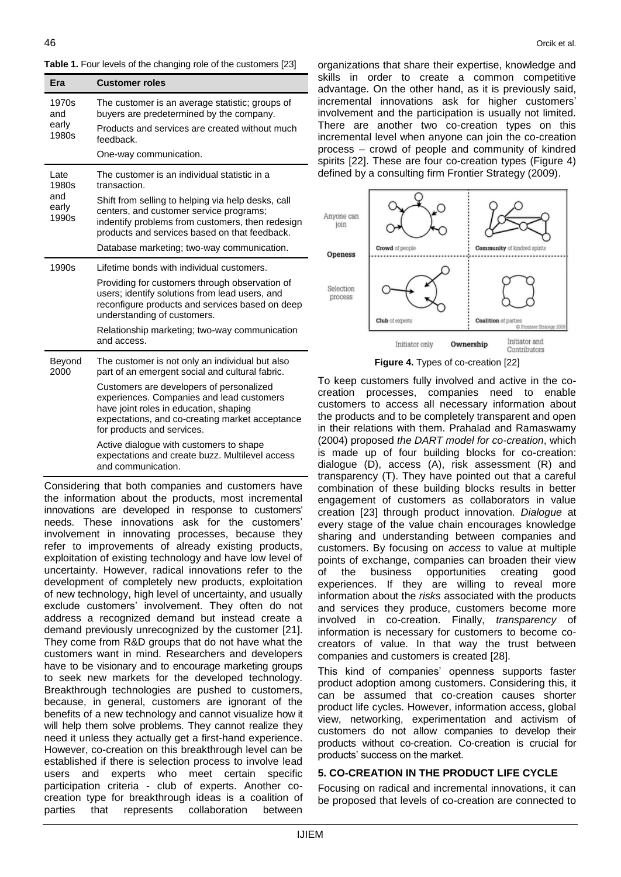**Table 1.** Four levels of the changing role of the customers [23]

| Era                                    | <b>Customer roles</b>                                                                                                                                                                                                                            |
|----------------------------------------|--------------------------------------------------------------------------------------------------------------------------------------------------------------------------------------------------------------------------------------------------|
| 1970s<br>and<br>early<br>1980s         | The customer is an average statistic; groups of<br>buyers are predetermined by the company.                                                                                                                                                      |
|                                        | Products and services are created without much<br>feedback.                                                                                                                                                                                      |
|                                        | One-way communication.                                                                                                                                                                                                                           |
| Late<br>1980s<br>and<br>early<br>1990s | The customer is an individual statistic in a<br>transaction.                                                                                                                                                                                     |
|                                        | Shift from selling to helping via help desks, call<br>centers, and customer service programs;<br>indentify problems from customers, then redesign<br>products and services based on that feedback.<br>Database marketing; two-way communication. |
| 1990s                                  | Lifetime bonds with individual customers.                                                                                                                                                                                                        |
|                                        | Providing for customers through observation of<br>users; identify solutions from lead users, and<br>reconfigure products and services based on deep<br>understanding of customers.                                                               |
|                                        | Relationship marketing; two-way communication<br>and access.                                                                                                                                                                                     |
| Beyond<br>2000                         | The customer is not only an individual but also<br>part of an emergent social and cultural fabric.                                                                                                                                               |
|                                        | Customers are developers of personalized<br>experiences. Companies and lead customers<br>have joint roles in education, shaping<br>expectations, and co-creating market acceptance<br>for products and services.                                 |
|                                        | Active dialogue with customers to shape<br>expectations and create buzz. Multilevel access<br>and communication.                                                                                                                                 |

Considering that both companies and customers have the information about the products, most incremental innovations are developed in response to customers' needs. These innovations ask for the customers' involvement in innovating processes, because they refer to improvements of already existing products, exploitation of existing technology and have low level of uncertainty. However, radical innovations refer to the development of completely new products, exploitation of new technology, high level of uncertainty, and usually exclude customers' involvement. They often do not address a recognized demand but instead create a demand previously unrecognized by the customer [21]. They come from R&D groups that do not have what the customers want in mind. Researchers and developers have to be visionary and to encourage marketing groups to seek new markets for the developed technology. Breakthrough technologies are pushed to customers, because, in general, customers are ignorant of the benefits of a new technology and cannot visualize how it will help them solve problems. They cannot realize they need it unless they actually get a first-hand experience. However, co-creation on this breakthrough level can be established if there is selection process to involve lead users and experts who meet certain specific participation criteria - club of experts. Another cocreation type for breakthrough ideas is a coalition of parties that represents collaboration between

organizations that share their expertise, knowledge and skills in order to create a common competitive advantage. On the other hand, as it is previously said, incremental innovations ask for higher customers' involvement and the participation is usually not limited. There are another two co-creation types on this incremental level when anyone can join the co-creation process – crowd of people and community of kindred spirits [22]. These are four co-creation types (Figure 4) defined by a consulting firm Frontier Strategy (2009).



**Figure 4.** Types of co-creation [22]

To keep customers fully involved and active in the cocreation processes, companies need to enable customers to access all necessary information about the products and to be completely transparent and open in their relations with them. Prahalad and Ramaswamy (2004) proposed *the DART model for co-creation*, which is made up of four building blocks for co-creation: dialogue (D), access (A), risk assessment (R) and transparency (T). They have pointed out that a careful combination of these building blocks results in better engagement of customers as collaborators in value creation [23] through product innovation. *Dialogue* at every stage of the value chain encourages knowledge sharing and understanding between companies and customers. By focusing on *access* to value at multiple points of exchange, companies can broaden their view of the business opportunities creating good experiences. If they are willing to reveal more information about the *risks* associated with the products and services they produce, customers become more involved in co-creation. Finally, *transparency* of information is necessary for customers to become cocreators of value. In that way the trust between companies and customers is created [28].

This kind of companies' openness supports faster product adoption among customers. Considering this, it can be assumed that co-creation causes shorter product life cycles. However, information access, global view, networking, experimentation and activism of customers do not allow companies to develop their products without co-creation. Co-creation is crucial for products' success on the market.

## **5. CO-CREATION IN THE PRODUCT LIFE CYCLE**

Focusing on radical and incremental innovations, it can be proposed that levels of co-creation are connected to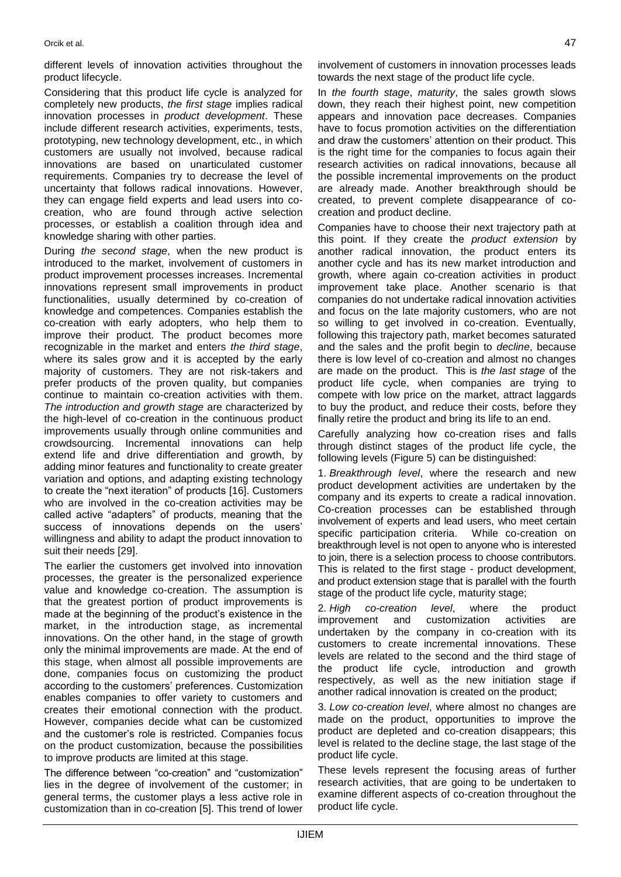different levels of innovation activities throughout the product lifecycle.

Considering that this product life cycle is analyzed for completely new products, *the first stage* implies radical innovation processes in *product development*. These include different research activities, experiments, tests, prototyping, new technology development, etc., in which customers are usually not involved, because radical innovations are based on unarticulated customer requirements. Companies try to decrease the level of uncertainty that follows radical innovations. However, they can engage field experts and lead users into cocreation, who are found through active selection processes, or establish a coalition through idea and knowledge sharing with other parties.

During *the second stage*, when the new product is introduced to the market, involvement of customers in product improvement processes increases. Incremental innovations represent small improvements in product functionalities, usually determined by co-creation of knowledge and competences. Companies establish the co-creation with early adopters, who help them to improve their product. The product becomes more recognizable in the market and enters *the third stage*, where its sales grow and it is accepted by the early majority of customers. They are not risk-takers and prefer products of the proven quality, but companies continue to maintain co-creation activities with them. *The introduction and growth stage* are characterized by the high-level of co-creation in the continuous product improvements usually through online communities and crowdsourcing. Incremental innovations can help extend life and drive differentiation and growth, by adding minor features and functionality to create greater variation and options, and adapting existing technology to create the "next iteration" of products [16]. Customers who are involved in the co-creation activities may be called active "adapters" of products, meaning that the success of innovations depends on the users' willingness and ability to adapt the product innovation to suit their needs [29].

The earlier the customers get involved into innovation processes, the greater is the personalized experience value and knowledge co-creation. The assumption is that the greatest portion of product improvements is made at the beginning of the product's existence in the market, in the introduction stage, as incremental innovations. On the other hand, in the stage of growth only the minimal improvements are made. At the end of this stage, when almost all possible improvements are done, companies focus on customizing the product according to the customers' preferences. Customization enables companies to offer variety to customers and creates their emotional connection with the product. However, companies decide what can be customized and the customer's role is restricted. Companies focus on the product customization, because the possibilities to improve products are limited at this stage.

The difference between "co-creation" and "customization" lies in the degree of involvement of the customer; in general terms, the customer plays a less active role in customization than in co-creation [5]. This trend of lower involvement of customers in innovation processes leads towards the next stage of the product life cycle.

In *the fourth stage*, *maturity*, the sales growth slows down, they reach their highest point, new competition appears and innovation pace decreases. Companies have to focus promotion activities on the differentiation and draw the customers' attention on their product. This is the right time for the companies to focus again their research activities on radical innovations, because all the possible incremental improvements on the product are already made. Another breakthrough should be created, to prevent complete disappearance of cocreation and product decline.

Companies have to choose their next trajectory path at this point. If they create the *product extension* by another radical innovation, the product enters its another cycle and has its new market introduction and growth, where again co-creation activities in product improvement take place. Another scenario is that companies do not undertake radical innovation activities and focus on the late majority customers, who are not so willing to get involved in co-creation. Eventually, following this trajectory path, market becomes saturated and the sales and the profit begin to *decline*, because there is low level of co-creation and almost no changes are made on the product. This is *the last stage* of the product life cycle, when companies are trying to compete with low price on the market, attract laggards to buy the product, and reduce their costs, before they finally retire the product and bring its life to an end.

Carefully analyzing how co-creation rises and falls through distinct stages of the product life cycle, the following levels (Figure 5) can be distinguished:

1. *Breakthrough level*, where the research and new product development activities are undertaken by the company and its experts to create a radical innovation. Co-creation processes can be established through involvement of experts and lead users, who meet certain specific participation criteria. While co-creation on breakthrough level is not open to anyone who is interested to join, there is a selection process to choose contributors. This is related to the first stage - product development, and product extension stage that is parallel with the fourth stage of the product life cycle, maturity stage;

2. *High co-creation level*, where the product improvement and customization activities are undertaken by the company in co-creation with its customers to create incremental innovations. These levels are related to the second and the third stage of the product life cycle, introduction and growth respectively, as well as the new initiation stage if another radical innovation is created on the product;

3. *Low co-creation level*, where almost no changes are made on the product, opportunities to improve the product are depleted and co-creation disappears; this level is related to the decline stage, the last stage of the product life cycle.

These levels represent the focusing areas of further research activities, that are going to be undertaken to examine different aspects of co-creation throughout the product life cycle.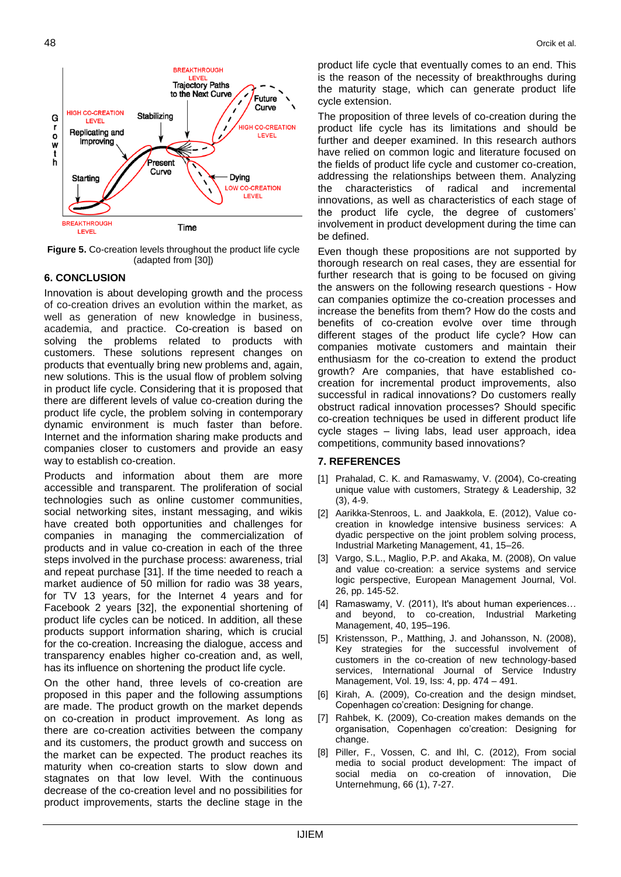

**Figure 5.** Co-creation levels throughout the product life cycle (adapted from [30])

#### **6. CONCLUSION**

Innovation is about developing growth and the process of co-creation drives an evolution within the market, as well as generation of new knowledge in business, academia, and practice. Co-creation is based on solving the problems related to products with customers. These solutions represent changes on products that eventually bring new problems and, again, new solutions. This is the usual flow of problem solving in product life cycle. Considering that it is proposed that there are different levels of value co-creation during the product life cycle, the problem solving in contemporary dynamic environment is much faster than before. Internet and the information sharing make products and companies closer to customers and provide an easy way to establish co-creation.

Products and information about them are more accessible and transparent. The proliferation of social technologies such as online customer communities, social networking sites, instant messaging, and wikis have created both opportunities and challenges for companies in managing the commercialization of products and in value co-creation in each of the three steps involved in the purchase process: awareness, trial and repeat purchase [31]. If the time needed to reach a market audience of 50 million for radio was 38 years, for TV 13 years, for the Internet 4 years and for Facebook 2 years [32], the exponential shortening of product life cycles can be noticed. In addition, all these products support information sharing, which is crucial for the co-creation. Increasing the dialogue, access and transparency enables higher co-creation and, as well, has its influence on shortening the product life cycle.

On the other hand, three levels of co-creation are proposed in this paper and the following assumptions are made. The product growth on the market depends on co-creation in product improvement. As long as there are co-creation activities between the company and its customers, the product growth and success on the market can be expected. The product reaches its maturity when co-creation starts to slow down and stagnates on that low level. With the continuous decrease of the co-creation level and no possibilities for product improvements, starts the decline stage in the

product life cycle that eventually comes to an end. This is the reason of the necessity of breakthroughs during the maturity stage, which can generate product life cycle extension.

The proposition of three levels of co-creation during the product life cycle has its limitations and should be further and deeper examined. In this research authors have relied on common logic and literature focused on the fields of product life cycle and customer co-creation, addressing the relationships between them. Analyzing the characteristics of radical and incremental innovations, as well as characteristics of each stage of the product life cycle, the degree of customers' involvement in product development during the time can be defined.

Even though these propositions are not supported by thorough research on real cases, they are essential for further research that is going to be focused on giving the answers on the following research questions - How can companies optimize the co-creation processes and increase the benefits from them? How do the costs and benefits of co-creation evolve over time through different stages of the product life cycle? How can companies motivate customers and maintain their enthusiasm for the co-creation to extend the product growth? Are companies, that have established cocreation for incremental product improvements, also successful in radical innovations? Do customers really obstruct radical innovation processes? Should specific co-creation techniques be used in different product life cycle stages – living labs, lead user approach, idea competitions, community based innovations?

#### **7. REFERENCES**

- [1] Prahalad, C. K. and Ramaswamy, V. (2004), Co-creating unique value with customers, Strategy & Leadership, 32 (3), 4-9.
- [2] Aarikka-Stenroos, L. and Jaakkola, E. (2012), Value cocreation in knowledge intensive business services: A dyadic perspective on the joint problem solving process, Industrial Marketing Management, 41, 15–26.
- [3] Vargo, S.L., Maglio, P.P. and Akaka, M. (2008), On value and value co-creation: a service systems and service logic perspective, European Management Journal, Vol. 26, pp. 145-52.
- [4] Ramaswamy, V. (2011), It's about human experiences... and beyond, to co-creation, Industrial Marketing Management, 40, 195–196.
- [5] Kristensson, P., Matthing, J. and Johansson, N. (2008), Key strategies for the successful involvement of customers in the co-creation of new technology-based services, International Journal of Service Industry Management, Vol. 19, Iss: 4, pp. 474 – 491.
- [6] Kirah, A. (2009), Co-creation and the design mindset, Copenhagen co'creation: Designing for change.
- [7] Rahbek, K. (2009), Co-creation makes demands on the organisation, Copenhagen co'creation: Designing for change.
- [8] Piller, F., Vossen, C. and Ihl, C. (2012), From social media to social product development: The impact of social media on co-creation of innovation, Die Unternehmung, 66 (1), 7-27.